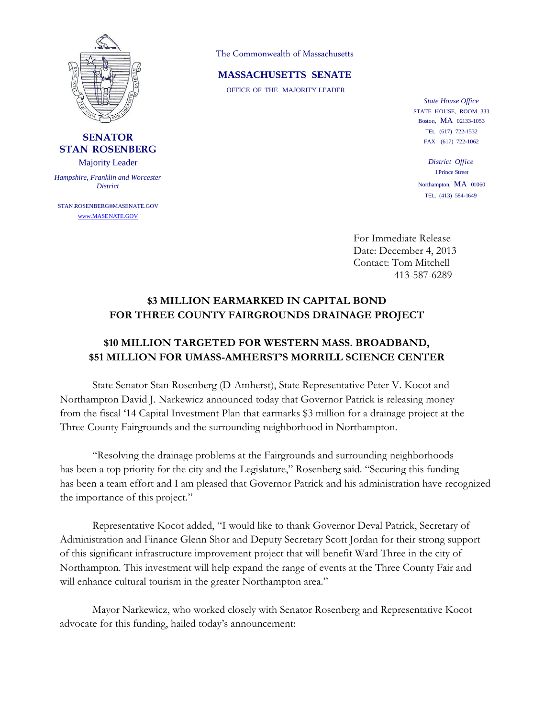

## **SENATOR STAN ROSENBERG**

Majority Leader

*Hampshire, Franklin and Worcester District*

STAN.ROSENBERG®MASENATE.GOV www.MASENATE.GOV

The Commonwealth of Massachusetts

## **MASSACHUSETTS SENATE**

OFFICE OF THE MAJORITY LEADER

*State House Office* STATE HOUSE, ROOM 333 Boston, MA 02133-1053 TEL. (617) 722-1532 FAX (617) 722-1062

*District Office* 1Prince Street Northampton, MA 01060 TEL. (413) 584-1649

For Immediate Release Date: December 4, 2013 Contact: Tom Mitchell 413-587-6289

## **\$3 MILLION EARMARKED IN CAPITAL BOND FOR THREE COUNTY FAIRGROUNDS DRAINAGE PROJECT**

## **\$10 MILLION TARGETED FOR WESTERN MASS. BROADBAND, \$51 MILLION FOR UMASS-AMHERST'S MORRILL SCIENCE CENTER**

State Senator Stan Rosenberg (D-Amherst), State Representative Peter V. Kocot and Northampton David J. Narkewicz announced today that Governor Patrick is releasing money from the fiscal '14 Capital Investment Plan that earmarks \$3 million for a drainage project at the Three County Fairgrounds and the surrounding neighborhood in Northampton.

"Resolving the drainage problems at the Fairgrounds and surrounding neighborhoods has been a top priority for the city and the Legislature," Rosenberg said. "Securing this funding has been a team effort and I am pleased that Governor Patrick and his administration have recognized the importance of this project."

Representative Kocot added, "I would like to thank Governor Deval Patrick, Secretary of Administration and Finance Glenn Shor and Deputy Secretary Scott Jordan for their strong support of this significant infrastructure improvement project that will benefit Ward Three in the city of Northampton. This investment will help expand the range of events at the Three County Fair and will enhance cultural tourism in the greater Northampton area."

Mayor Narkewicz, who worked closely with Senator Rosenberg and Representative Kocot advocate for this funding, hailed today's announcement: